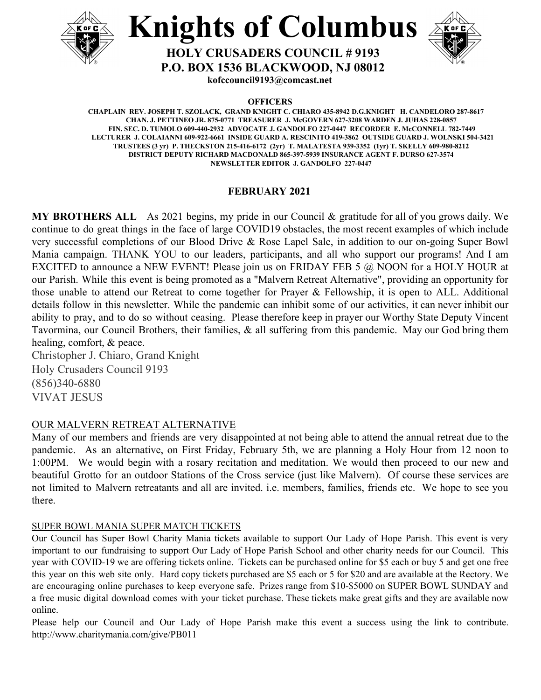



**P.O. BOX 1536 BLACKWOOD, NJ 08012**

**HOLY CRUSADERS COUNCIL # 9193**

**kofccouncil9193@comcast.net**

**OFFICERS**

**CHAPLAIN REV. JOSEPH T. SZOLACK, GRAND KNIGHT C. CHIARO 435-8942 D.G.KNIGHT H. CANDELORO 287-8617 CHAN. J. PETTINEO JR. 875-0771 TREASURER J. McGOVERN 627-3208 WARDEN J. JUHAS 228-0857 FIN. SEC. D. TUMOLO 609-440-2932 ADVOCATE J. GANDOLFO 227-0447 RECORDER E. McCONNELL 782-7449 LECTURER J. COLAIANNI 609-922-6661 INSIDE GUARD A. RESCINITO 419-3862 OUTSIDE GUARD J. WOLNSKI 504-3421 TRUSTEES (3 yr) P. THECKSTON 215-416-6172 (2yr) T. MALATESTA 939-3352 (1yr) T. SKELLY 609-980-8212 DISTRICT DEPUTY RICHARD MACDONALD 865-397-5939 INSURANCE AGENT F. DURSO 627-3574 NEWSLETTER EDITOR J. GANDOLFO 227-0447**

# **FEBRUARY 2021**

**MY BROTHERS ALL** As 2021 begins, my pride in our Council & gratitude for all of you grows daily. We continue to do great things in the face of large COVID19 obstacles, the most recent examples of which include very successful completions of our Blood Drive & Rose Lapel Sale, in addition to our on-going Super Bowl Mania campaign. THANK YOU to our leaders, participants, and all who support our programs! And I am EXCITED to announce a NEW EVENT! Please join us on FRIDAY FEB 5 @ NOON for a HOLY HOUR at our Parish. While this event is being promoted as a "Malvern Retreat Alternative", providing an opportunity for those unable to attend our Retreat to come together for Prayer & Fellowship, it is open to ALL. Additional details follow in this newsletter. While the pandemic can inhibit some of our activities, it can never inhibit our ability to pray, and to do so without ceasing. Please therefore keep in prayer our Worthy State Deputy Vincent Tavormina, our Council Brothers, their families, & all suffering from this pandemic. May our God bring them healing, comfort, & peace.

Christopher J. Chiaro, Grand Knight Holy Crusaders Council 9193 (856)340-6880 VIVAT JESUS

# OUR MALVERN RETREAT ALTERNATIVE

Many of our members and friends are very disappointed at not being able to attend the annual retreat due to the pandemic. As an alternative, on First Friday, February 5th, we are planning a Holy Hour from 12 noon to 1:00PM. We would begin with a rosary recitation and meditation. We would then proceed to our new and beautiful Grotto for an outdoor Stations of the Cross service (just like Malvern). Of course these services are not limited to Malvern retreatants and all are invited. i.e. members, families, friends etc. We hope to see you there.

# SUPER BOWL MANIA SUPER MATCH TICKETS

Our Council has Super Bowl Charity Mania tickets available to support Our Lady of Hope Parish. This event is very important to our fundraising to support Our Lady of Hope Parish School and other charity needs for our Council. This year with COVID-19 we are offering tickets online. Tickets can be purchased online for \$5 each or buy 5 and get one free this year on this web site only. Hard copy tickets purchased are \$5 each or 5 for \$20 and are available at the Rectory. We are encouraging online purchases to keep everyone safe. Prizes range from \$10-\$5000 on SUPER BOWL SUNDAY and a free music digital download comes with your ticket purchase. These tickets make great gifts and they are available now online.

Please help our Council and Our Lady of Hope Parish make this event a success using the link to contribute. <http://www.charitymania.com/give/PB011>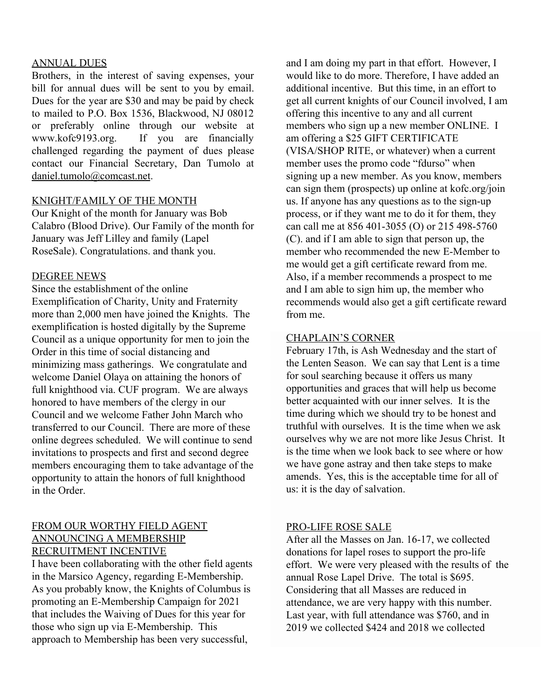#### ANNUAL DUES

Brothers, in the interest of saving expenses, your bill for annual dues will be sent to you by email. Dues for the year are \$30 and may be paid by check to mailed to P.O. Box 1536, Blackwood, NJ 08012 or preferably online through our website at [www.kofc](http://www.kof/)9193.org. If you are financially challenged regarding the payment of dues please contact our Financial Secretary, Dan Tumolo at daniel.tumolo@comcast.net.

#### KNIGHT/FAMILY OF THE MONTH

Our Knight of the month for January was Bob Calabro (Blood Drive). Our Family of the month for January was Jeff Lilley and family (Lapel RoseSale). Congratulations. and thank you.

#### DEGREE NEWS

Since the establishment of the online Exemplification of Charity, Unity and Fraternity more than 2,000 men have joined the Knights. The exemplification is hosted digitally by the Supreme Council as a unique opportunity for men to join the Order in this time of social distancing and minimizing mass gatherings. We congratulate and welcome Daniel Olaya on attaining the honors of full knighthood via. CUF program. We are always honored to have members of the clergy in our Council and we welcome Father John March who transferred to our Council. There are more of these online degrees scheduled. We will continue to send invitations to prospects and first and second degree members encouraging them to take advantage of the opportunity to attain the honors of full knighthood in the Order.

# FROM OUR WORTHY FIELD AGENT ANNOUNCING A MEMBERSHIP RECRUITMENT INCENTIVE

I have been collaborating with the other field agents in the Marsico Agency, regarding E-Membership. As you probably know, the Knights of Columbus is promoting an E-Membership Campaign for 2021 that includes the Waiving of Dues for this year for those who sign up via E-Membership. This approach to Membership has been very successful,

and I am doing my part in that effort. However, I would like to do more. Therefore, I have added an additional incentive. But this time, in an effort to get all current knights of our Council involved, I am offering this incentive to any and all current members who sign up a new member ONLINE. I am offering a \$25 GIFT CERTIFICATE (VISA/SHOP RITE, or whatever) when a current member uses the promo code "fdurso" when signing up a new member. As you know, members can sign them (prospects) up online at kofc.org/join us. If anyone has any questions as to the sign-up process, or if they want me to do it for them, they can call me at 856 401-3055 (O) or 215 498-5760 (C). and if I am able to sign that person up, the member who recommended the new E-Member to me would get a gift certificate reward from me. Also, if a member recommends a prospect to me and I am able to sign him up, the member who recommends would also get a gift certificate reward from me.

#### CHAPLAIN'S CORNER

February 17th, is Ash Wednesday and the start of the Lenten Season. We can say that Lent is a time for soul searching because it offers us many opportunities and graces that will help us become better acquainted with our inner selves. It is the time during which we should try to be honest and truthful with ourselves. It is the time when we ask ourselves why we are not more like Jesus Christ. It is the time when we look back to see where or how we have gone astray and then take steps to make amends. Yes, this is the acceptable time for all of us: it is the day of salvation.

#### PRO-LIFE ROSE SALE

After all the Masses on Jan. 16-17, we collected donations for lapel roses to support the pro-life effort. We were very pleased with the results of the annual Rose Lapel Drive. The total is \$695. Considering that all Masses are reduced in attendance, we are very happy with this number. Last year, with full attendance was \$760, and in 2019 we collected \$424 and 2018 we collected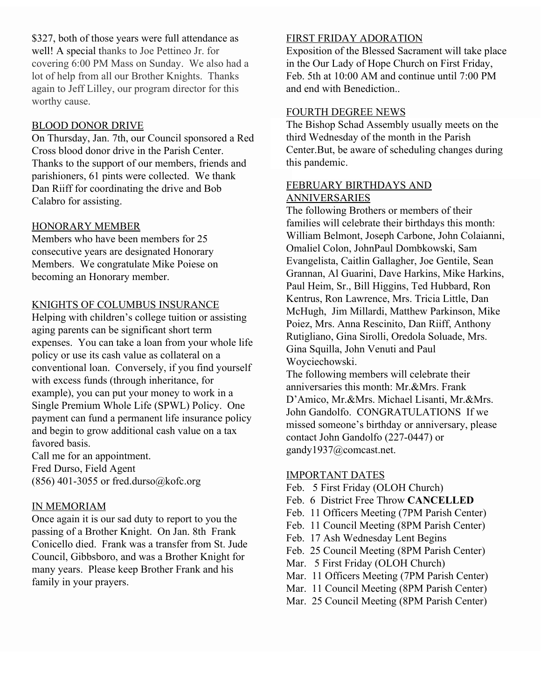\$327, both of those years were full attendance as well! A special thanks to Joe Pettineo Jr. for covering 6:00 PM Mass on Sunday. We also had a lot of help from all our Brother Knights. Thanks again to Jeff Lilley, our program director for this worthy cause.

## BLOOD DONOR DRIVE

On Thursday, Jan. 7th, our Council sponsored a Red Cross blood donor drive in the Parish Center. Thanks to the support of our members, friends and parishioners, 61 pints were collected. We thank Dan Riiff for coordinating the drive and Bob Calabro for assisting.

#### HONORARY MEMBER

Members who have been members for 25 consecutive years are designated Honorary Members. We congratulate Mike Poiese on becoming an Honorary member.

#### KNIGHTS OF COLUMBUS INSURANCE

Helping with children's college tuition or assisting aging parents can be significant short term expenses. You can take a loan from your whole life policy or use its cash value as collateral on a conventional loan. Conversely, if you find yourself with excess funds (through inheritance, for example), you can put your money to work in a Single Premium Whole Life (SPWL) Policy. One payment can fund a permanent life insurance policy and begin to grow additional cash value on a tax favored basis.

Call me for an appointment. Fred Durso, Field Agent  $(856)$  401-3055 or fred.durso@kofc.org

#### IN MEMORIAM

Once again it is our sad duty to report to you the passing of a Brother Knight. On Jan. 8th Frank Conicello died. Frank was a transfer from St. Jude Council, Gibbsboro, and was a Brother Knight for many years. Please keep Brother Frank and his family in your prayers.

#### FIRST FRIDAY ADORATION

Exposition of the Blessed Sacrament will take place in the Our Lady of Hope Church on First Friday, Feb. 5th at 10:00 AM and continue until 7:00 PM and end with Benediction..

#### FOURTH DEGREE NEWS

The Bishop Schad Assembly usually meets on the third Wednesday of the month in the Parish Center.But, be aware of scheduling changes during this pandemic.

# FEBRUARY BIRTHDAYS AND ANNIVERSARIES

The following Brothers or members of their families will celebrate their birthdays this month: William Belmont, Joseph Carbone, John Colaianni, Omaliel Colon, JohnPaul Dombkowski, Sam Evangelista, Caitlin Gallagher, Joe Gentile, Sean Grannan, Al Guarini, Dave Harkins, Mike Harkins, Paul Heim, Sr., Bill Higgins, Ted Hubbard, Ron Kentrus, Ron Lawrence, Mrs. Tricia Little, Dan McHugh, Jim Millardi, Matthew Parkinson, Mike Poiez, Mrs. Anna Rescinito, Dan Riiff, Anthony Rutigliano, Gina Sirolli, Oredola Soluade, Mrs. Gina Squilla, John Venuti and Paul Woyciechowski.

The following members will celebrate their anniversaries this month: Mr.&Mrs. Frank D'Amico, Mr.&Mrs. Michael Lisanti, Mr.&Mrs. John Gandolfo. CONGRATULATIONS If we missed someone's birthday or anniversary, please contact John Gandolfo (227-0447) or gandy1937@comcast.net.

#### IMPORTANT DATES

- Feb. 5 First Friday (OLOH Church)
- Feb. 6 District Free Throw **CANCELLED**
- Feb. 11 Officers Meeting (7PM Parish Center)
- Feb. 11 Council Meeting (8PM Parish Center)
- Feb. 17 Ash Wednesday Lent Begins
- Feb. 25 Council Meeting (8PM Parish Center)
- Mar. 5 First Friday (OLOH Church)
- Mar. 11 Officers Meeting (7PM Parish Center)
- Mar. 11 Council Meeting (8PM Parish Center)
- Mar. 25 Council Meeting (8PM Parish Center)